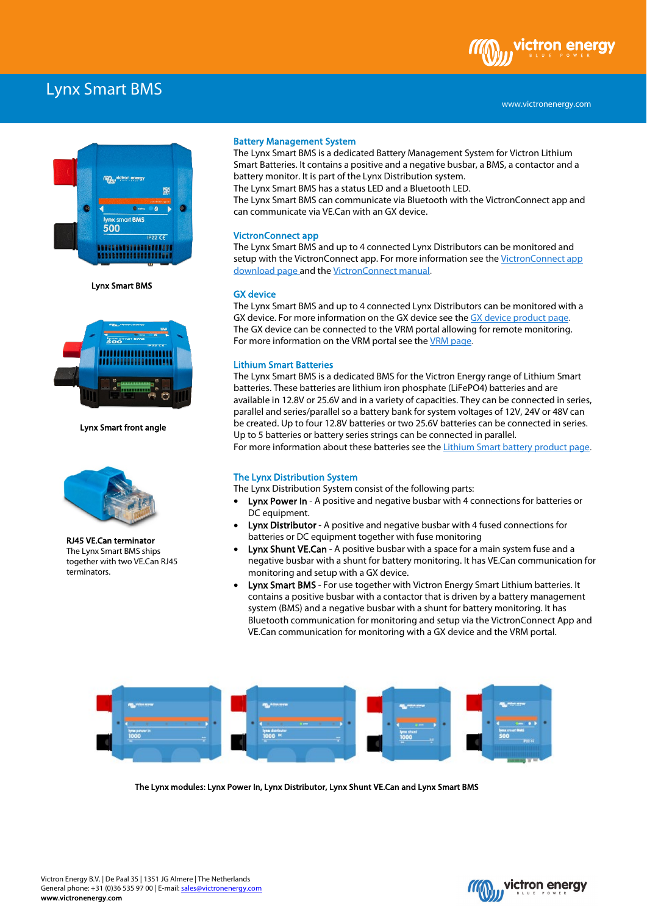# Lynx Smart BMS



Lynx Smart BMS



Lynx Smart front angle



RJ45 VE.Can terminator The Lynx Smart BMS ships together with two VE.Can RJ45 terminators.

# Battery Management System

The Lynx Smart BMS is a dedicated Battery Management System for Victron Lithium Smart Batteries. It contains a positive and a negative busbar, a BMS, a contactor and a battery monitor. It is part of the Lynx Distribution system.

The Lynx Smart BMS has a status LED and a Bluetooth LED.

The Lynx Smart BMS can communicate via Bluetooth with the VictronConnect app and can communicate via VE.Can with an GX device.

## VictronConnect app

The Lynx Smart BMS and up to 4 connected Lynx Distributors can be monitored and setup with the VictronConnect app. For more information see the VictronConnect app download page and the VictronConnect manual.

#### GX device

The Lynx Smart BMS and up to 4 connected Lynx Distributors can be monitored with a GX device. For more information on the GX device see the GX device product page. The GX device can be connected to the VRM portal allowing for remote monitoring. For more information on the VRM portal see the VRM page.

## Lithium Smart Batteries

The Lynx Smart BMS is a dedicated BMS for the Victron Energy range of Lithium Smart batteries. These batteries are lithium iron phosphate (LiFePO4) batteries and are available in 12.8V or 25.6V and in a variety of capacities. They can be connected in series, parallel and series/parallel so a battery bank for system voltages of 12V, 24V or 48V can be created. Up to four 12.8V batteries or two 25.6V batteries can be connected in series. Up to 5 batteries or battery series strings can be connected in parallel. For more information about these batteries see the **Lithium Smart battery product page**.

## The Lynx Distribution System

The Lynx Distribution System consist of the following parts:

- Lynx Power In A positive and negative busbar with 4 connections for batteries or DC equipment.
- **Lynx Distributor** A positive and negative busbar with 4 fused connections for batteries or DC equipment together with fuse monitoring
- Lynx Shunt VE.Can A positive busbar with a space for a main system fuse and a negative busbar with a shunt for battery monitoring. It has VE.Can communication for monitoring and setup with a GX device.
- Lynx Smart BMS For use together with Victron Energy Smart Lithium batteries. It contains a positive busbar with a contactor that is driven by a battery management system (BMS) and a negative busbar with a shunt for battery monitoring. It has Bluetooth communication for monitoring and setup via the VictronConnect App and VE.Can communication for monitoring with a GX device and the VRM portal.



The Lynx modules: Lynx Power In, Lynx Distributor, Lynx Shunt VE.Can and Lynx Smart BMS